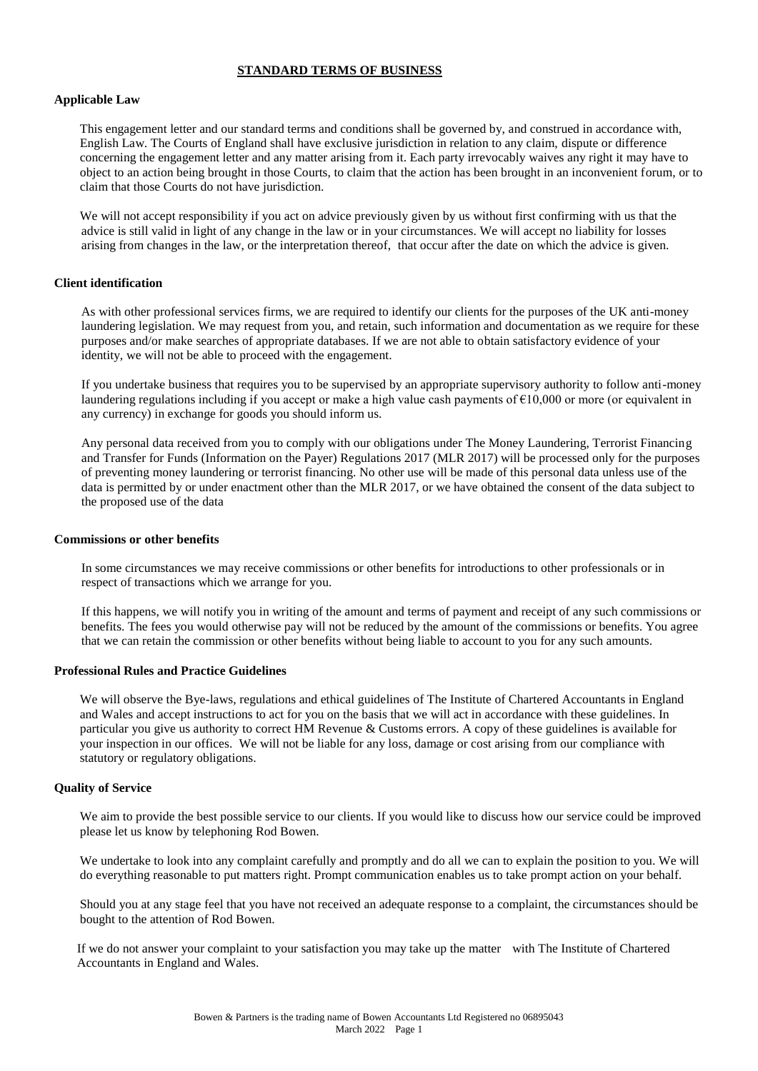# **STANDARD TERMS OF BUSINESS**

# **Applicable Law**

This engagement letter and our standard terms and conditions shall be governed by, and construed in accordance with, English Law. The Courts of England shall have exclusive jurisdiction in relation to any claim, dispute or difference concerning the engagement letter and any matter arising from it. Each party irrevocably waives any right it may have to object to an action being brought in those Courts, to claim that the action has been brought in an inconvenient forum, or to claim that those Courts do not have jurisdiction.

We will not accept responsibility if you act on advice previously given by us without first confirming with us that the advice is still valid in light of any change in the law or in your circumstances. We will accept no liability for losses arising from changes in the law, or the interpretation thereof, that occur after the date on which the advice is given.

# **Client identification**

As with other professional services firms, we are required to identify our clients for the purposes of the UK anti-money laundering legislation. We may request from you, and retain, such information and documentation as we require for these purposes and/or make searches of appropriate databases. If we are not able to obtain satisfactory evidence of your identity, we will not be able to proceed with the engagement.

If you undertake business that requires you to be supervised by an appropriate supervisory authority to follow anti-money laundering regulations including if you accept or make a high value cash payments of €10,000 or more (or equivalent in any currency) in exchange for goods you should inform us.

Any personal data received from you to comply with our obligations under The Money Laundering, Terrorist Financing and Transfer for Funds (Information on the Payer) Regulations 2017 (MLR 2017) will be processed only for the purposes of preventing money laundering or terrorist financing. No other use will be made of this personal data unless use of the data is permitted by or under enactment other than the MLR 2017, or we have obtained the consent of the data subject to the proposed use of the data

#### **Commissions or other benefits**

In some circumstances we may receive commissions or other benefits for introductions to other professionals or in respect of transactions which we arrange for you.

If this happens, we will notify you in writing of the amount and terms of payment and receipt of any such commissions or benefits. The fees you would otherwise pay will not be reduced by the amount of the commissions or benefits. You agree that we can retain the commission or other benefits without being liable to account to you for any such amounts.

#### **Professional Rules and Practice Guidelines**

We will observe the Bye-laws, regulations and ethical guidelines of The Institute of Chartered Accountants in England and Wales and accept instructions to act for you on the basis that we will act in accordance with these guidelines. In particular you give us authority to correct HM Revenue & Customs errors. A copy of these guidelines is available for your inspection in our offices. We will not be liable for any loss, damage or cost arising from our compliance with statutory or regulatory obligations.

# **Quality of Service**

We aim to provide the best possible service to our clients. If you would like to discuss how our service could be improved please let us know by telephoning Rod Bowen.

We undertake to look into any complaint carefully and promptly and do all we can to explain the position to you. We will do everything reasonable to put matters right. Prompt communication enables us to take prompt action on your behalf.

Should you at any stage feel that you have not received an adequate response to a complaint, the circumstances should be bought to the attention of Rod Bowen.

If we do not answer your complaint to your satisfaction you may take up the matter with The Institute of Chartered Accountants in England and Wales.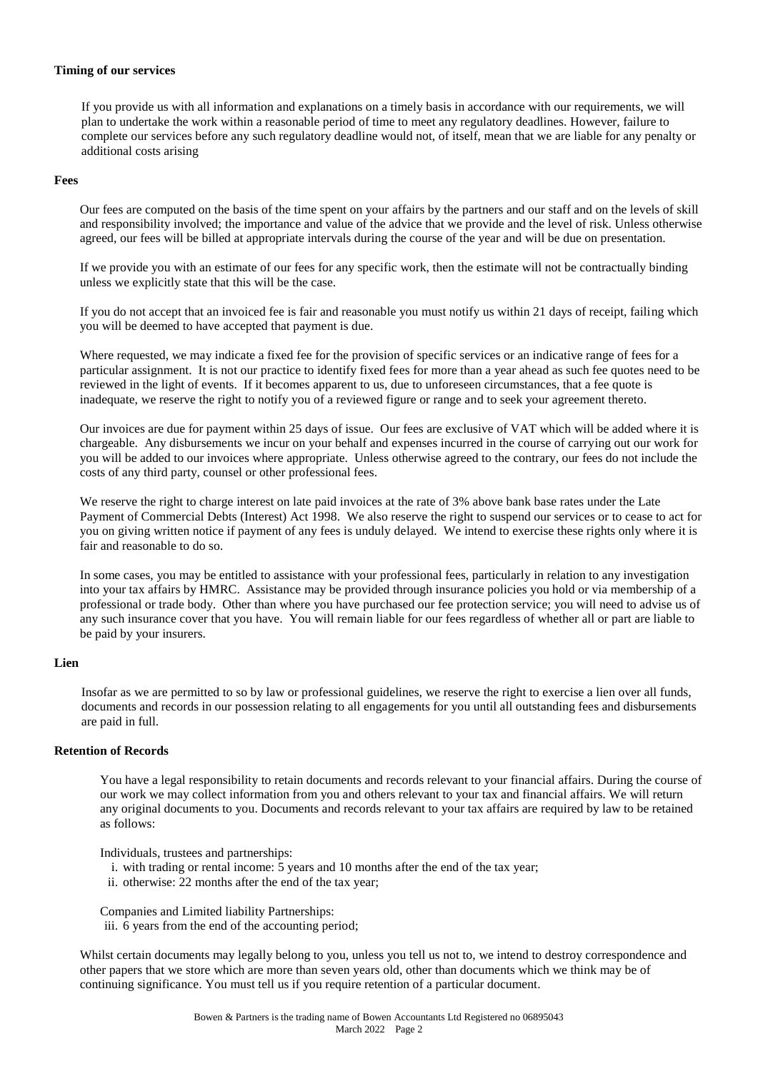## **Timing of our services**

If you provide us with all information and explanations on a timely basis in accordance with our requirements, we will plan to undertake the work within a reasonable period of time to meet any regulatory deadlines. However, failure to complete our services before any such regulatory deadline would not, of itself, mean that we are liable for any penalty or additional costs arising

# **Fees**

Our fees are computed on the basis of the time spent on your affairs by the partners and our staff and on the levels of skill and responsibility involved; the importance and value of the advice that we provide and the level of risk. Unless otherwise agreed, our fees will be billed at appropriate intervals during the course of the year and will be due on presentation.

If we provide you with an estimate of our fees for any specific work, then the estimate will not be contractually binding unless we explicitly state that this will be the case.

If you do not accept that an invoiced fee is fair and reasonable you must notify us within 21 days of receipt, failing which you will be deemed to have accepted that payment is due.

Where requested, we may indicate a fixed fee for the provision of specific services or an indicative range of fees for a particular assignment. It is not our practice to identify fixed fees for more than a year ahead as such fee quotes need to be reviewed in the light of events. If it becomes apparent to us, due to unforeseen circumstances, that a fee quote is inadequate, we reserve the right to notify you of a reviewed figure or range and to seek your agreement thereto.

Our invoices are due for payment within 25 days of issue. Our fees are exclusive of VAT which will be added where it is chargeable. Any disbursements we incur on your behalf and expenses incurred in the course of carrying out our work for you will be added to our invoices where appropriate. Unless otherwise agreed to the contrary, our fees do not include the costs of any third party, counsel or other professional fees.

We reserve the right to charge interest on late paid invoices at the rate of 3% above bank base rates under the Late Payment of Commercial Debts (Interest) Act 1998. We also reserve the right to suspend our services or to cease to act for you on giving written notice if payment of any fees is unduly delayed. We intend to exercise these rights only where it is fair and reasonable to do so.

In some cases, you may be entitled to assistance with your professional fees, particularly in relation to any investigation into your tax affairs by HMRC. Assistance may be provided through insurance policies you hold or via membership of a professional or trade body. Other than where you have purchased our fee protection service; you will need to advise us of any such insurance cover that you have. You will remain liable for our fees regardless of whether all or part are liable to be paid by your insurers.

#### **Lien**

Insofar as we are permitted to so by law or professional guidelines, we reserve the right to exercise a lien over all funds, documents and records in our possession relating to all engagements for you until all outstanding fees and disbursements are paid in full.

#### **Retention of Records**

You have a legal responsibility to retain documents and records relevant to your financial affairs. During the course of our work we may collect information from you and others relevant to your tax and financial affairs. We will return any original documents to you. Documents and records relevant to your tax affairs are required by law to be retained as follows:

Individuals, trustees and partnerships:

- i. with trading or rental income: 5 years and 10 months after the end of the tax year;
- ii. otherwise: 22 months after the end of the tax year;

Companies and Limited liability Partnerships:

iii. 6 years from the end of the accounting period;

Whilst certain documents may legally belong to you, unless you tell us not to, we intend to destroy correspondence and other papers that we store which are more than seven years old, other than documents which we think may be of continuing significance. You must tell us if you require retention of a particular document.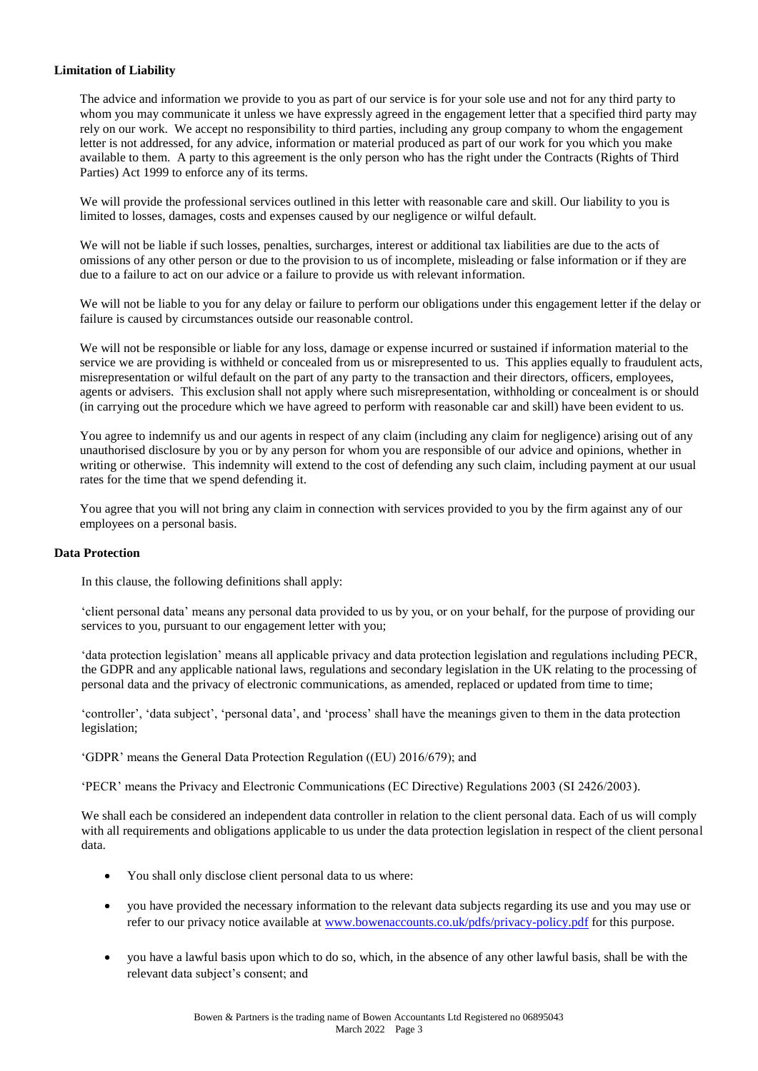# **Limitation of Liability**

The advice and information we provide to you as part of our service is for your sole use and not for any third party to whom you may communicate it unless we have expressly agreed in the engagement letter that a specified third party may rely on our work. We accept no responsibility to third parties, including any group company to whom the engagement letter is not addressed, for any advice, information or material produced as part of our work for you which you make available to them. A party to this agreement is the only person who has the right under the Contracts (Rights of Third Parties) Act 1999 to enforce any of its terms.

We will provide the professional services outlined in this letter with reasonable care and skill. Our liability to you is limited to losses, damages, costs and expenses caused by our negligence or wilful default.

We will not be liable if such losses, penalties, surcharges, interest or additional tax liabilities are due to the acts of omissions of any other person or due to the provision to us of incomplete, misleading or false information or if they are due to a failure to act on our advice or a failure to provide us with relevant information.

We will not be liable to you for any delay or failure to perform our obligations under this engagement letter if the delay or failure is caused by circumstances outside our reasonable control.

We will not be responsible or liable for any loss, damage or expense incurred or sustained if information material to the service we are providing is withheld or concealed from us or misrepresented to us. This applies equally to fraudulent acts, misrepresentation or wilful default on the part of any party to the transaction and their directors, officers, employees, agents or advisers. This exclusion shall not apply where such misrepresentation, withholding or concealment is or should (in carrying out the procedure which we have agreed to perform with reasonable car and skill) have been evident to us.

You agree to indemnify us and our agents in respect of any claim (including any claim for negligence) arising out of any unauthorised disclosure by you or by any person for whom you are responsible of our advice and opinions, whether in writing or otherwise. This indemnity will extend to the cost of defending any such claim, including payment at our usual rates for the time that we spend defending it.

You agree that you will not bring any claim in connection with services provided to you by the firm against any of our employees on a personal basis.

#### **Data Protection**

In this clause, the following definitions shall apply:

'client personal data' means any personal data provided to us by you, or on your behalf, for the purpose of providing our services to you, pursuant to our engagement letter with you;

'data protection legislation' means all applicable privacy and data protection legislation and regulations including PECR, the GDPR and any applicable national laws, regulations and secondary legislation in the UK relating to the processing of personal data and the privacy of electronic communications, as amended, replaced or updated from time to time;

'controller', 'data subject', 'personal data', and 'process' shall have the meanings given to them in the data protection legislation;

'GDPR' means the General Data Protection Regulation ((EU) 2016/679); and

'PECR' means the Privacy and Electronic Communications (EC Directive) Regulations 2003 (SI 2426/2003).

We shall each be considered an independent data controller in relation to the client personal data. Each of us will comply with all requirements and obligations applicable to us under the data protection legislation in respect of the client personal data.

- You shall only disclose client personal data to us where:
- you have provided the necessary information to the relevant data subjects regarding its use and you may use or refer to our privacy notice available at [www.bowenaccounts.co.uk/pdfs/privacy-policy.pdf](http://www.bowenaccounts.co.uk/pdfs/privacy-policy.pdf) for this purpose.
- you have a lawful basis upon which to do so, which, in the absence of any other lawful basis, shall be with the relevant data subject's consent; and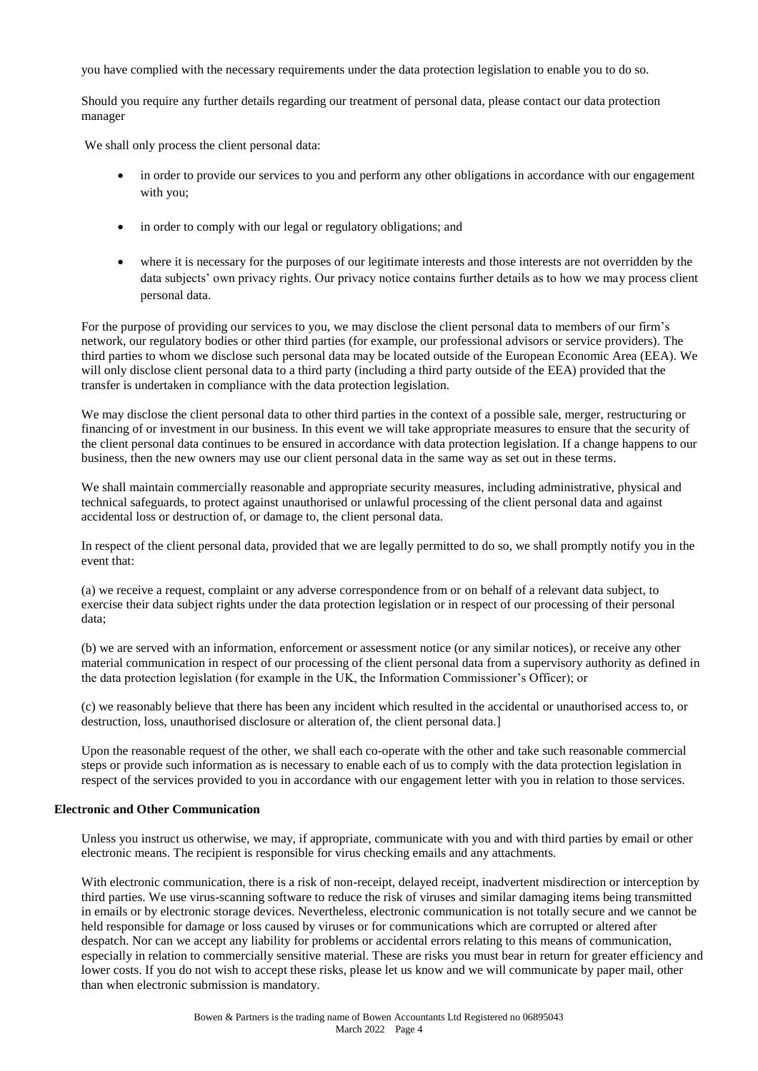you have complied with the necessary requirements under the data protection legislation to enable you to do so.

Should you require any further details regarding our treatment of personal data, please contact our data protection manager

We shall only process the client personal data:

- in order to provide our services to you and perform any other obligations in accordance with our engagement with you;
- in order to comply with our legal or regulatory obligations; and
- where it is necessary for the purposes of our legitimate interests and those interests are not overridden by the data subjects' own privacy rights. Our privacy notice contains further details as to how we may process client personal data.

For the purpose of providing our services to you, we may disclose the client personal data to members of our firm's network, our regulatory bodies or other third parties (for example, our professional advisors or service providers). The third parties to whom we disclose such personal data may be located outside of the European Economic Area (EEA). We will only disclose client personal data to a third party (including a third party outside of the EEA) provided that the transfer is undertaken in compliance with the data protection legislation.

We may disclose the client personal data to other third parties in the context of a possible sale, merger, restructuring or financing of or investment in our business. In this event we will take appropriate measures to ensure that the security of the client personal data continues to be ensured in accordance with data protection legislation. If a change happens to our business, then the new owners may use our client personal data in the same way as set out in these terms.

We shall maintain commercially reasonable and appropriate security measures, including administrative, physical and technical safeguards, to protect against unauthorised or unlawful processing of the client personal data and against accidental loss or destruction of, or damage to, the client personal data.

In respect of the client personal data, provided that we are legally permitted to do so, we shall promptly notify you in the event that:

(a) we receive a request, complaint or any adverse correspondence from or on behalf of a relevant data subject, to exercise their data subject rights under the data protection legislation or in respect of our processing of their personal data;

(b) we are served with an information, enforcement or assessment notice (or any similar notices), or receive any other material communication in respect of our processing of the client personal data from a supervisory authority as defined in the data protection legislation (for example in the UK, the Information Commissioner's Officer); or

(c) we reasonably believe that there has been any incident which resulted in the accidental or unauthorised access to, or destruction, loss, unauthorised disclosure or alteration of, the client personal data.]

Upon the reasonable request of the other, we shall each co-operate with the other and take such reasonable commercial steps or provide such information as is necessary to enable each of us to comply with the data protection legislation in respect of the services provided to you in accordance with our engagement letter with you in relation to those services.

# **Electronic and Other Communication**

Unless you instruct us otherwise, we may, if appropriate, communicate with you and with third parties by email or other electronic means. The recipient is responsible for virus checking emails and any attachments.

With electronic communication, there is a risk of non-receipt, delayed receipt, inadvertent misdirection or interception by third parties. We use virus-scanning software to reduce the risk of viruses and similar damaging items being transmitted in emails or by electronic storage devices. Nevertheless, electronic communication is not totally secure and we cannot be held responsible for damage or loss caused by viruses or for communications which are corrupted or altered after despatch. Nor can we accept any liability for problems or accidental errors relating to this means of communication, especially in relation to commercially sensitive material. These are risks you must bear in return for greater efficiency and lower costs. If you do not wish to accept these risks, please let us know and we will communicate by paper mail, other than when electronic submission is mandatory.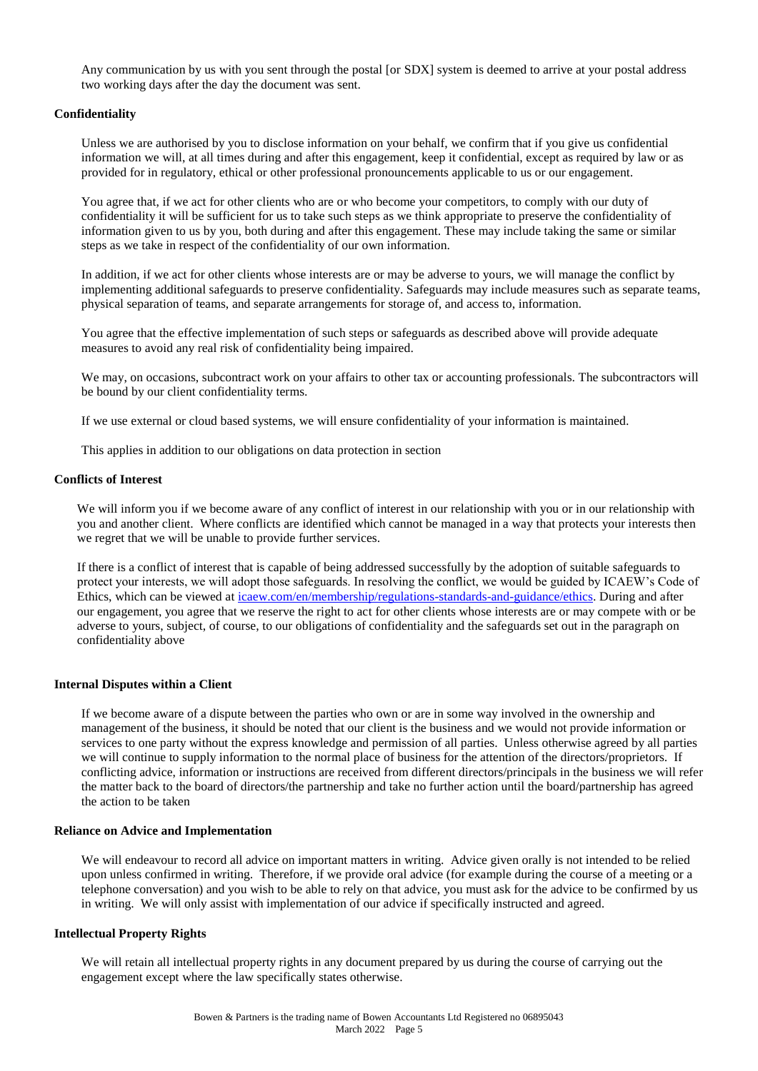Any communication by us with you sent through the postal [or SDX] system is deemed to arrive at your postal address two working days after the day the document was sent.

#### **Confidentiality**

Unless we are authorised by you to disclose information on your behalf, we confirm that if you give us confidential information we will, at all times during and after this engagement, keep it confidential, except as required by law or as provided for in regulatory, ethical or other professional pronouncements applicable to us or our engagement.

You agree that, if we act for other clients who are or who become your competitors, to comply with our duty of confidentiality it will be sufficient for us to take such steps as we think appropriate to preserve the confidentiality of information given to us by you, both during and after this engagement. These may include taking the same or similar steps as we take in respect of the confidentiality of our own information.

In addition, if we act for other clients whose interests are or may be adverse to yours, we will manage the conflict by implementing additional safeguards to preserve confidentiality. Safeguards may include measures such as separate teams, physical separation of teams, and separate arrangements for storage of, and access to, information.

You agree that the effective implementation of such steps or safeguards as described above will provide adequate measures to avoid any real risk of confidentiality being impaired.

We may, on occasions, subcontract work on your affairs to other tax or accounting professionals. The subcontractors will be bound by our client confidentiality terms.

If we use external or cloud based systems, we will ensure confidentiality of your information is maintained.

This applies in addition to our obligations on data protection in section

# **Conflicts of Interest**

We will inform you if we become aware of any conflict of interest in our relationship with you or in our relationship with you and another client. Where conflicts are identified which cannot be managed in a way that protects your interests then we regret that we will be unable to provide further services.

If there is a conflict of interest that is capable of being addressed successfully by the adoption of suitable safeguards to protect your interests, we will adopt those safeguards. In resolving the conflict, we would be guided by ICAEW's Code of Ethics, which can be viewed at [icaew.com/en/membership/regulations-standards-and-guidance/ethics.](https://www.icaew.com/en/membership/regulations-standards-and-guidance/ethics) During and after our engagement, you agree that we reserve the right to act for other clients whose interests are or may compete with or be adverse to yours, subject, of course, to our obligations of confidentiality and the safeguards set out in the paragraph on confidentiality above

#### **Internal Disputes within a Client**

If we become aware of a dispute between the parties who own or are in some way involved in the ownership and management of the business, it should be noted that our client is the business and we would not provide information or services to one party without the express knowledge and permission of all parties. Unless otherwise agreed by all parties we will continue to supply information to the normal place of business for the attention of the directors/proprietors. If conflicting advice, information or instructions are received from different directors/principals in the business we will refer the matter back to the board of directors/the partnership and take no further action until the board/partnership has agreed the action to be taken

#### **Reliance on Advice and Implementation**

We will endeavour to record all advice on important matters in writing. Advice given orally is not intended to be relied upon unless confirmed in writing. Therefore, if we provide oral advice (for example during the course of a meeting or a telephone conversation) and you wish to be able to rely on that advice, you must ask for the advice to be confirmed by us in writing. We will only assist with implementation of our advice if specifically instructed and agreed.

#### **Intellectual Property Rights**

We will retain all intellectual property rights in any document prepared by us during the course of carrying out the engagement except where the law specifically states otherwise.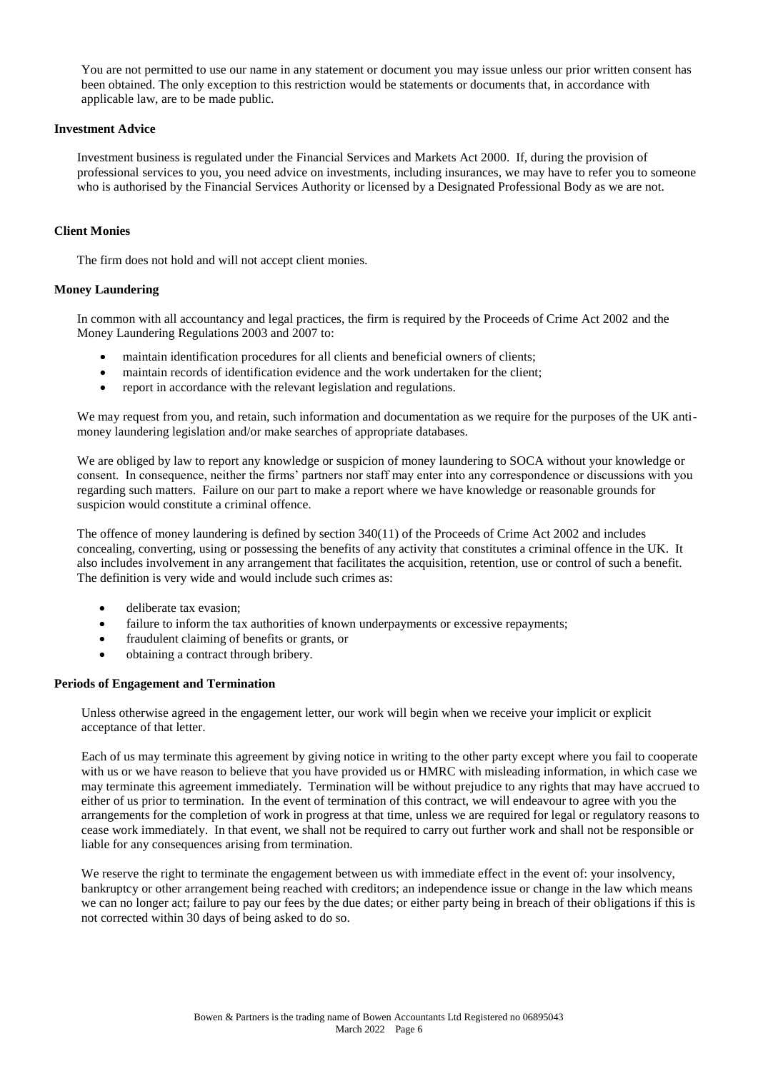You are not permitted to use our name in any statement or document you may issue unless our prior written consent has been obtained. The only exception to this restriction would be statements or documents that, in accordance with applicable law, are to be made public.

# **Investment Advice**

Investment business is regulated under the Financial Services and Markets Act 2000. If, during the provision of professional services to you, you need advice on investments, including insurances, we may have to refer you to someone who is authorised by the Financial Services Authority or licensed by a Designated Professional Body as we are not.

# **Client Monies**

The firm does not hold and will not accept client monies.

# **Money Laundering**

In common with all accountancy and legal practices, the firm is required by the Proceeds of Crime Act 2002 and the Money Laundering Regulations 2003 and 2007 to:

- maintain identification procedures for all clients and beneficial owners of clients;
- maintain records of identification evidence and the work undertaken for the client;
- report in accordance with the relevant legislation and regulations.

We may request from you, and retain, such information and documentation as we require for the purposes of the UK antimoney laundering legislation and/or make searches of appropriate databases.

We are obliged by law to report any knowledge or suspicion of money laundering to SOCA without your knowledge or consent. In consequence, neither the firms' partners nor staff may enter into any correspondence or discussions with you regarding such matters. Failure on our part to make a report where we have knowledge or reasonable grounds for suspicion would constitute a criminal offence.

The offence of money laundering is defined by section 340(11) of the Proceeds of Crime Act 2002 and includes concealing, converting, using or possessing the benefits of any activity that constitutes a criminal offence in the UK. It also includes involvement in any arrangement that facilitates the acquisition, retention, use or control of such a benefit. The definition is very wide and would include such crimes as:

- **deliberate tax evasion:**
- failure to inform the tax authorities of known underpayments or excessive repayments;
- fraudulent claiming of benefits or grants, or
- obtaining a contract through bribery.

# **Periods of Engagement and Termination**

Unless otherwise agreed in the engagement letter, our work will begin when we receive your implicit or explicit acceptance of that letter.

Each of us may terminate this agreement by giving notice in writing to the other party except where you fail to cooperate with us or we have reason to believe that you have provided us or HMRC with misleading information, in which case we may terminate this agreement immediately. Termination will be without prejudice to any rights that may have accrued to either of us prior to termination. In the event of termination of this contract, we will endeavour to agree with you the arrangements for the completion of work in progress at that time, unless we are required for legal or regulatory reasons to cease work immediately. In that event, we shall not be required to carry out further work and shall not be responsible or liable for any consequences arising from termination.

We reserve the right to terminate the engagement between us with immediate effect in the event of: your insolvency, bankruptcy or other arrangement being reached with creditors; an independence issue or change in the law which means we can no longer act; failure to pay our fees by the due dates; or either party being in breach of their obligations if this is not corrected within 30 days of being asked to do so.